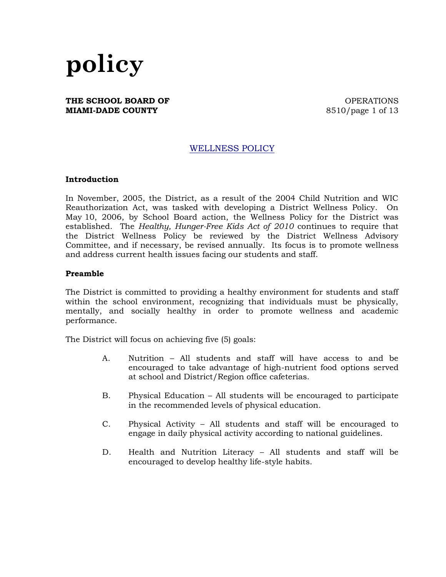

#### **THE SCHOOL BOARD OF CONSUMING A SET OF SCHOOL BOARD OF MIAMI-DADE COUNTY** 8510/page 1 of 13

## WELLNESS POLICY

#### **Introduction**

In November, 2005, the District, as a result of the 2004 Child Nutrition and WIC Reauthorization Act, was tasked with developing a District Wellness Policy. On May 10, 2006, by School Board action, the Wellness Policy for the District was established. The *Healthy, Hunger-Free Kids Act of 2010* continues to require that the District Wellness Policy be reviewed by the District Wellness Advisory Committee, and if necessary, be revised annually. Its focus is to promote wellness and address current health issues facing our students and staff.

#### **Preamble**

The District is committed to providing a healthy environment for students and staff within the school environment, recognizing that individuals must be physically, mentally, and socially healthy in order to promote wellness and academic performance.

The District will focus on achieving five (5) goals:

- A. Nutrition All students and staff will have access to and be encouraged to take advantage of high-nutrient food options served at school and District/Region office cafeterias.
- B. Physical Education All students will be encouraged to participate in the recommended levels of physical education.
- C. Physical Activity All students and staff will be encouraged to engage in daily physical activity according to national guidelines.
- D. Health and Nutrition Literacy All students and staff will be encouraged to develop healthy life-style habits.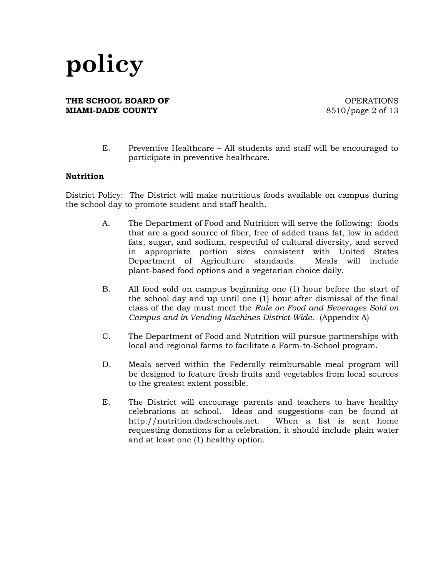**THE SCHOOL BOARD OF CONSUMING A SET OF SCHOOL BOARD OF MIAMI-DADE COUNTY** 8510/page 2 of 13

E. Preventive Healthcare – All students and staff will be encouraged to participate in preventive healthcare.

### **Nutrition**

District Policy: The District will make nutritious foods available on campus during the school day to promote student and staff health.

- A. The Department of Food and Nutrition will serve the following: foods that are a good source of fiber, free of added trans fat, low in added fats, sugar, and sodium, respectful of cultural diversity, and served in appropriate portion sizes consistent with United States Department of Agriculture standards. Meals will include plant-based food options and a vegetarian choice daily.
- B. All food sold on campus beginning one (1) hour before the start of the school day and up until one (1) hour after dismissal of the final class of the day must meet the *Rule on Food and Beverages Sold on Campus and in Vending Machines District-Wide*. (Appendix A)
- C. The Department of Food and Nutrition will pursue partnerships with local and regional farms to facilitate a Farm-to-School program.
- D. Meals served within the Federally reimbursable meal program will be designed to feature fresh fruits and vegetables from local sources to the greatest extent possible.
- E. The District will encourage parents and teachers to have healthy celebrations at school. Ideas and suggestions can be found at http://nutrition.dadeschools.net. When a list is sent home requesting donations for a celebration, it should include plain water and at least one (1) healthy option.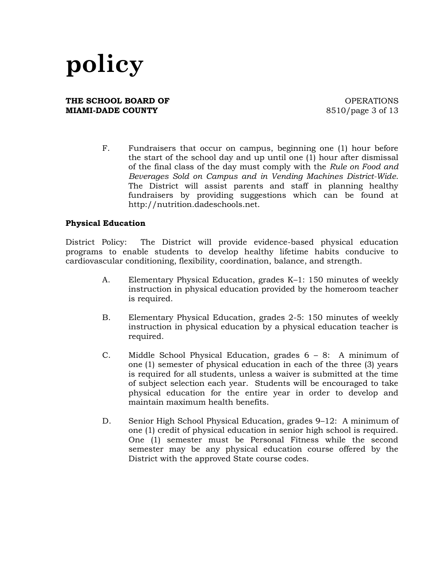### **THE SCHOOL BOARD OF CONSUMING A SET OF SCHOOL BOARD OF MIAMI-DADE COUNTY** 8510/page 3 of 13

F. Fundraisers that occur on campus, beginning one (1) hour before the start of the school day and up until one (1) hour after dismissal of the final class of the day must comply with the *Rule on Food and Beverages Sold on Campus and in Vending Machines District-Wide*. The District will assist parents and staff in planning healthy fundraisers by providing suggestions which can be found at http://nutrition.dadeschools.net.

### **Physical Education**

District Policy: The District will provide evidence-based physical education programs to enable students to develop healthy lifetime habits conducive to cardiovascular conditioning, flexibility, coordination, balance, and strength.

- A. Elementary Physical Education, grades K–1: 150 minutes of weekly instruction in physical education provided by the homeroom teacher is required.
- B. Elementary Physical Education, grades 2-5: 150 minutes of weekly instruction in physical education by a physical education teacher is required.
- C. Middle School Physical Education, grades 6 8: A minimum of one (1) semester of physical education in each of the three (3) years is required for all students, unless a waiver is submitted at the time of subject selection each year. Students will be encouraged to take physical education for the entire year in order to develop and maintain maximum health benefits.
- D. Senior High School Physical Education, grades 9–12: A minimum of one (1) credit of physical education in senior high school is required. One (1) semester must be Personal Fitness while the second semester may be any physical education course offered by the District with the approved State course codes.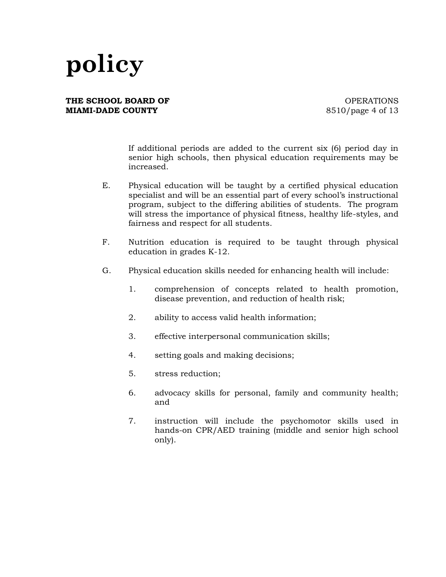### **THE SCHOOL BOARD OF CONSUMING A SET OF SCHOOL BOARD OF MIAMI-DADE COUNTY** 8510/page 4 of 13

If additional periods are added to the current six (6) period day in senior high schools, then physical education requirements may be increased.

- E. Physical education will be taught by a certified physical education specialist and will be an essential part of every school's instructional program, subject to the differing abilities of students. The program will stress the importance of physical fitness, healthy life-styles, and fairness and respect for all students.
- F. Nutrition education is required to be taught through physical education in grades K-12.
- G. Physical education skills needed for enhancing health will include:
	- 1. comprehension of concepts related to health promotion, disease prevention, and reduction of health risk;
	- 2. ability to access valid health information;
	- 3. effective interpersonal communication skills;
	- 4. setting goals and making decisions;
	- 5. stress reduction;
	- 6. advocacy skills for personal, family and community health; and
	- 7. instruction will include the psychomotor skills used in hands-on CPR/AED training (middle and senior high school only).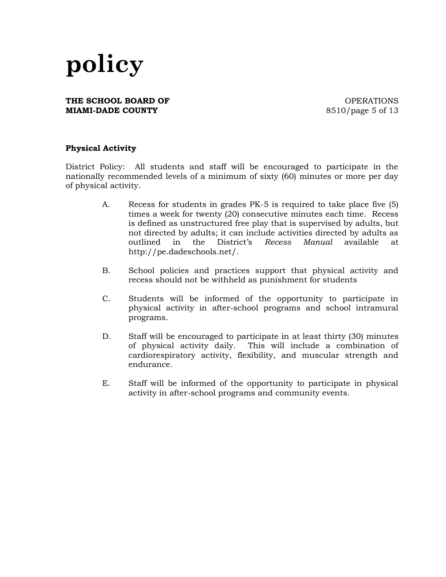### **THE SCHOOL BOARD OF CONSUMING A SET OF SCHOOL BOARD OF MIAMI-DADE COUNTY** 8510/page 5 of 13

### **Physical Activity**

District Policy: All students and staff will be encouraged to participate in the nationally recommended levels of a minimum of sixty (60) minutes or more per day of physical activity.

- A. Recess for students in grades PK-5 is required to take place five (5) times a week for twenty (20) consecutive minutes each time. Recess is defined as unstructured free play that is supervised by adults, but not directed by adults; it can include activities directed by adults as outlined in the District's *Recess Manual* available at http://pe.dadeschools.net/.
- B. School policies and practices support that physical activity and recess should not be withheld as punishment for students
- C. Students will be informed of the opportunity to participate in physical activity in after-school programs and school intramural programs.
- D. Staff will be encouraged to participate in at least thirty (30) minutes of physical activity daily. This will include a combination of cardiorespiratory activity, flexibility, and muscular strength and endurance.
- E. Staff will be informed of the opportunity to participate in physical activity in after-school programs and community events.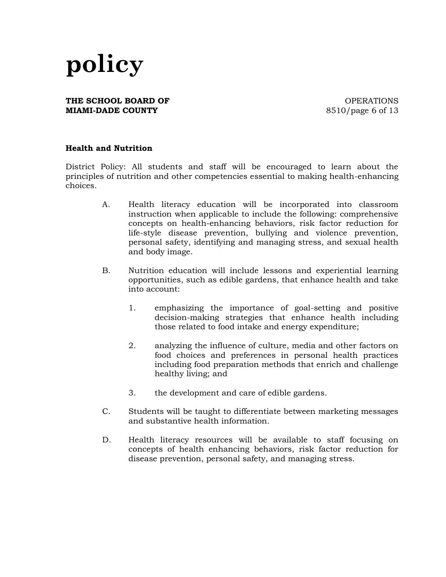### **THE SCHOOL BOARD OF CONSUMING A SET OF SCHOOL BOARD OF MIAMI-DADE COUNTY** 8510/page 6 of 13

### **Health and Nutrition**

District Policy: All students and staff will be encouraged to learn about the principles of nutrition and other competencies essential to making health-enhancing choices.

- A. Health literacy education will be incorporated into classroom instruction when applicable to include the following: comprehensive concepts on health-enhancing behaviors, risk factor reduction for life-style disease prevention, bullying and violence prevention, personal safety, identifying and managing stress, and sexual health and body image.
- B. Nutrition education will include lessons and experiential learning opportunities, such as edible gardens, that enhance health and take into account:
	- 1. emphasizing the importance of goal-setting and positive decision-making strategies that enhance health including those related to food intake and energy expenditure;
	- 2. analyzing the influence of culture, media and other factors on food choices and preferences in personal health practices including food preparation methods that enrich and challenge healthy living; and
	- 3. the development and care of edible gardens.
- C. Students will be taught to differentiate between marketing messages and substantive health information.
- D. Health literacy resources will be available to staff focusing on concepts of health enhancing behaviors, risk factor reduction for disease prevention, personal safety, and managing stress.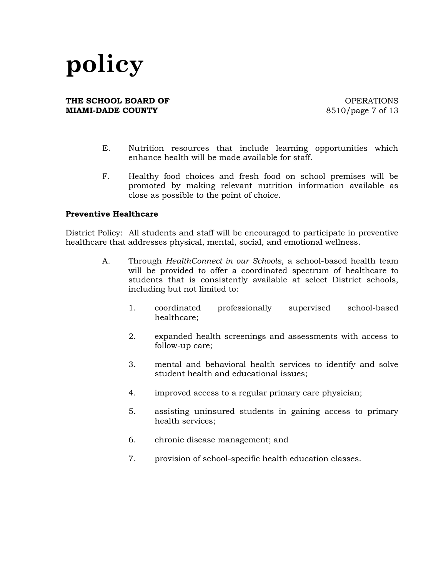### **THE SCHOOL BOARD OF CONSUMING A SET OF SCHOOL BOARD OF MIAMI-DADE COUNTY** 8510/page 7 of 13

- E. Nutrition resources that include learning opportunities which enhance health will be made available for staff.
- F. Healthy food choices and fresh food on school premises will be promoted by making relevant nutrition information available as close as possible to the point of choice.

### **Preventive Healthcare**

District Policy:All students and staff will be encouraged to participate in preventive healthcare that addresses physical, mental, social, and emotional wellness.

- A. Through *HealthConnect in our Schools*, a school-based health team will be provided to offer a coordinated spectrum of healthcare to students that is consistently available at select District schools, including but not limited to:
	- 1. coordinated professionally supervised school-based healthcare;
	- 2. expanded health screenings and assessments with access to follow-up care;
	- 3. mental and behavioral health services to identify and solve student health and educational issues;
	- 4. improved access to a regular primary care physician;
	- 5. assisting uninsured students in gaining access to primary health services;
	- 6. chronic disease management; and
	- 7. provision of school-specific health education classes.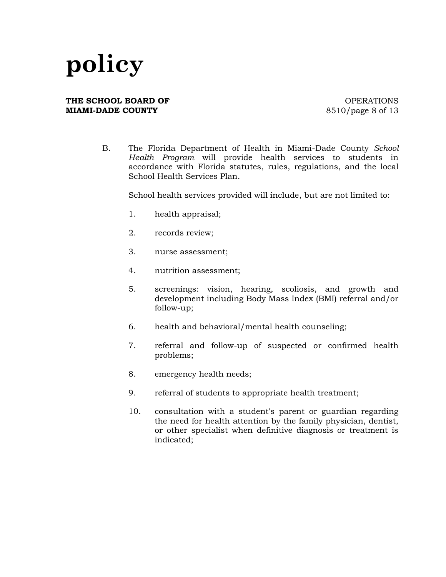#### **THE SCHOOL BOARD OF CONSUMING A SET OF SCHOOL BOARD OF MIAMI-DADE COUNTY** 8510/page 8 of 13

B. The Florida Department of Health in Miami-Dade County *School Health Program* will provide health services to students in accordance with Florida statutes, rules, regulations, and the local School Health Services Plan.

School health services provided will include, but are not limited to:

- 1. health appraisal;
- 2. records review;
- 3. nurse assessment;
- 4. nutrition assessment;
- 5. screenings: vision, hearing, scoliosis, and growth and development including Body Mass Index (BMI) referral and/or follow-up;
- 6. health and behavioral/mental health counseling;
- 7. referral and follow-up of suspected or confirmed health problems;
- 8. emergency health needs;
- 9. referral of students to appropriate health treatment;
- 10. consultation with a student's parent or guardian regarding the need for health attention by the family physician, dentist, or other specialist when definitive diagnosis or treatment is indicated;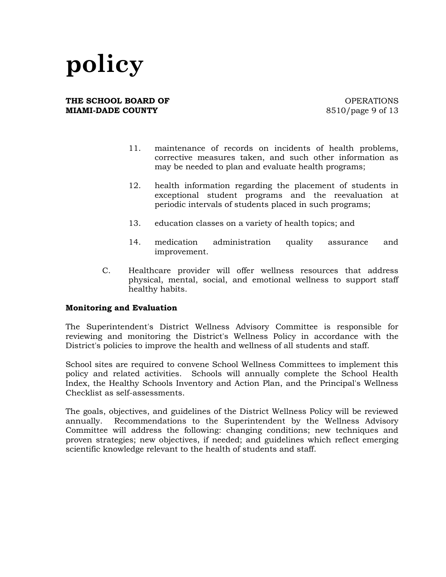**THE SCHOOL BOARD OF CONSUMING A SET OF SCHOOL BOARD OF MIAMI-DADE COUNTY** 8510/page 9 of 13

- 11. maintenance of records on incidents of health problems, corrective measures taken, and such other information as may be needed to plan and evaluate health programs;
- 12. health information regarding the placement of students in exceptional student programs and the reevaluation at periodic intervals of students placed in such programs;
- 13. education classes on a variety of health topics; and
- 14. medication administration quality assurance and improvement.
- C. Healthcare provider will offer wellness resources that address physical, mental, social, and emotional wellness to support staff healthy habits.

### **Monitoring and Evaluation**

The Superintendent's District Wellness Advisory Committee is responsible for reviewing and monitoring the District's Wellness Policy in accordance with the District's policies to improve the health and wellness of all students and staff.

School sites are required to convene School Wellness Committees to implement this policy and related activities. Schools will annually complete the School Health Index, the Healthy Schools Inventory and Action Plan, and the Principal's Wellness Checklist as self-assessments.

The goals, objectives, and guidelines of the District Wellness Policy will be reviewed annually. Recommendations to the Superintendent by the Wellness Advisory Committee will address the following: changing conditions; new techniques and proven strategies; new objectives, if needed; and guidelines which reflect emerging scientific knowledge relevant to the health of students and staff.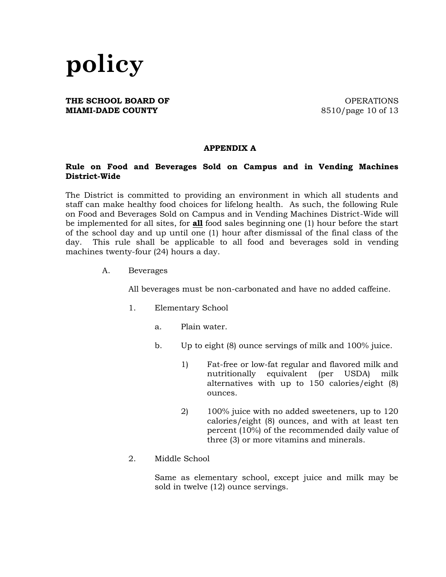

### **THE SCHOOL BOARD OF CONSUMING A SET OF SCHOOL BOARD OF MIAMI-DADE COUNTY** 8510/page 10 of 13

### **APPENDIX A**

### **Rule on Food and Beverages Sold on Campus and in Vending Machines District-Wide**

The District is committed to providing an environment in which all students and staff can make healthy food choices for lifelong health. As such, the following Rule on Food and Beverages Sold on Campus and in Vending Machines District-Wide will be implemented for all sites, for **all** food sales beginning one (1) hour before the start of the school day and up until one (1) hour after dismissal of the final class of the day. This rule shall be applicable to all food and beverages sold in vending machines twenty-four (24) hours a day.

A. Beverages

All beverages must be non-carbonated and have no added caffeine.

- 1. Elementary School
	- a. Plain water.
	- b. Up to eight (8) ounce servings of milk and 100% juice.
		- 1) Fat-free or low-fat regular and flavored milk and nutritionally equivalent (per USDA) milk alternatives with up to 150 calories/eight (8) ounces.
		- 2) 100% juice with no added sweeteners, up to 120 calories/eight (8) ounces, and with at least ten percent (10%) of the recommended daily value of three (3) or more vitamins and minerals.
- 2. Middle School

Same as elementary school, except juice and milk may be sold in twelve (12) ounce servings.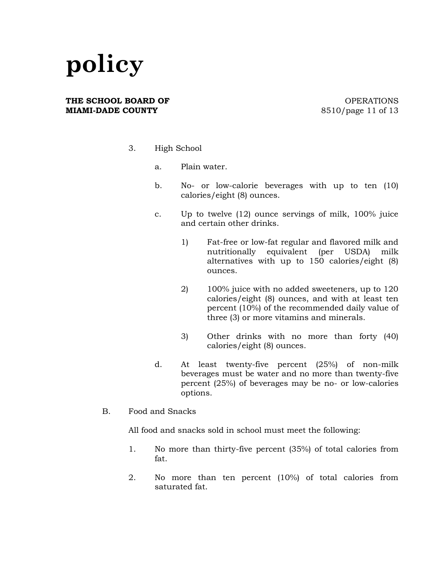#### **THE SCHOOL BOARD OF CONSUMING A SET OF SCHOOL BOARD OF MIAMI-DADE COUNTY** 8510/page 11 of 13

- 3. High School
	- a. Plain water.
	- b. No- or low-calorie beverages with up to ten (10) calories/eight (8) ounces.
	- c. Up to twelve (12) ounce servings of milk, 100% juice and certain other drinks.
		- 1) Fat-free or low-fat regular and flavored milk and nutritionally equivalent (per USDA) milk alternatives with up to 150 calories/eight (8) ounces.
		- 2) 100% juice with no added sweeteners, up to 120 calories/eight (8) ounces, and with at least ten percent (10%) of the recommended daily value of three (3) or more vitamins and minerals.
		- 3) Other drinks with no more than forty (40) calories/eight (8) ounces.
	- d. At least twenty-five percent (25%) of non-milk beverages must be water and no more than twenty-five percent (25%) of beverages may be no- or low-calories options.
- B. Food and Snacks

All food and snacks sold in school must meet the following:

- 1. No more than thirty-five percent (35%) of total calories from fat.
- 2. No more than ten percent (10%) of total calories from saturated fat.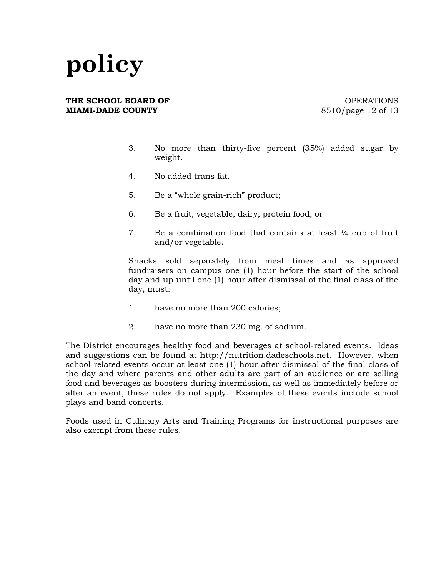#### **THE SCHOOL BOARD OF CONSUMING A SET OF SCHOOL BOARD OF MIAMI-DADE COUNTY** 8510/page 12 of 13

- 3. No more than thirty-five percent (35%) added sugar by weight.
- 4. No added trans fat.
- 5. Be a "whole grain-rich" product;
- 6. Be a fruit, vegetable, dairy, protein food; or
- 7. Be a combination food that contains at least  $\frac{1}{4}$  cup of fruit and/or vegetable.

Snacks sold separately from meal times and as approved fundraisers on campus one (1) hour before the start of the school day and up until one (1) hour after dismissal of the final class of the day, must:

- 1. have no more than 200 calories;
- 2. have no more than 230 mg. of sodium.

The District encourages healthy food and beverages at school-related events. Ideas and suggestions can be found at http://nutrition.dadeschools.net. However, when school-related events occur at least one (1) hour after dismissal of the final class of the day and where parents and other adults are part of an audience or are selling food and beverages as boosters during intermission, as well as immediately before or after an event, these rules do not apply. Examples of these events include school plays and band concerts.

Foods used in Culinary Arts and Training Programs for instructional purposes are also exempt from these rules.